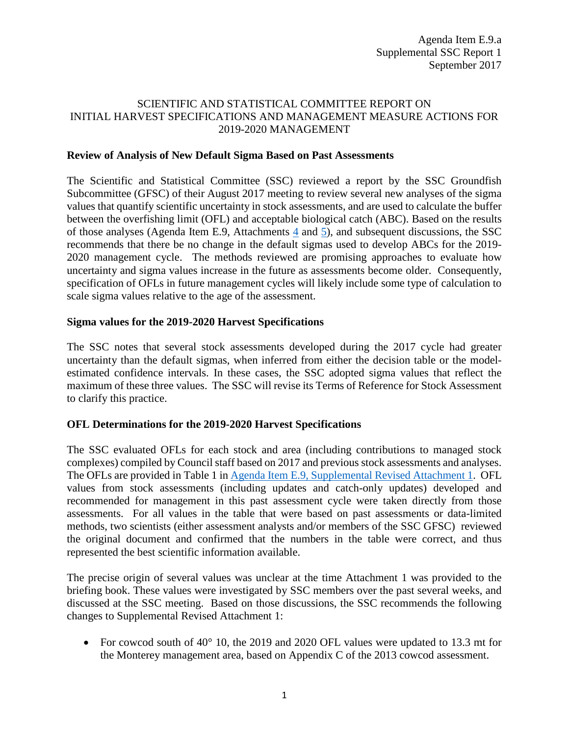# SCIENTIFIC AND STATISTICAL COMMITTEE REPORT ON INITIAL HARVEST SPECIFICATIONS AND MANAGEMENT MEASURE ACTIONS FOR 2019-2020 MANAGEMENT

## **Review of Analysis of New Default Sigma Based on Past Assessments**

The Scientific and Statistical Committee (SSC) reviewed a report by the SSC Groundfish Subcommittee (GFSC) of their August 2017 meeting to review several new analyses of the sigma values that quantify scientific uncertainty in stock assessments, and are used to calculate the buffer between the overfishing limit (OFL) and acceptable biological catch (ABC). Based on the results of those analyses (Agenda Item E.9, Attachments [4](http://www.pcouncil.org/wp-content/uploads/2017/08/E9_Att4_Wetzel_ProjectionUncertainty_Aug2017_SEPT2017BB.pdf) and [5\)](http://www.pcouncil.org/wp-content/uploads/2017/08/E9_Att5_Privitera-Johnson_EstOFL_SEPT2017BB.pdf), and subsequent discussions, the SSC recommends that there be no change in the default sigmas used to develop ABCs for the 2019- 2020 management cycle. The methods reviewed are promising approaches to evaluate how uncertainty and sigma values increase in the future as assessments become older. Consequently, specification of OFLs in future management cycles will likely include some type of calculation to scale sigma values relative to the age of the assessment.

### **Sigma values for the 2019-2020 Harvest Specifications**

The SSC notes that several stock assessments developed during the 2017 cycle had greater uncertainty than the default sigmas, when inferred from either the decision table or the modelestimated confidence intervals. In these cases, the SSC adopted sigma values that reflect the maximum of these three values. The SSC will revise its Terms of Reference for Stock Assessment to clarify this practice.

## **OFL Determinations for the 2019-2020 Harvest Specifications**

The SSC evaluated OFLs for each stock and area (including contributions to managed stock complexes) compiled by Council staff based on 2017 and previous stock assessments and analyses. The OFLs are provided in Table 1 in Agenda Item E.9, [Supplemental Revised](http://www.pcouncil.org/wp-content/uploads/2017/09/E9_Sup_REVISED_Att1_2019-20HarvestSpex_SEPT2017BB.pdf) Attachment 1. OFL values from stock assessments (including updates and catch-only updates) developed and recommended for management in this past assessment cycle were taken directly from those assessments. For all values in the table that were based on past assessments or data-limited methods, two scientists (either assessment analysts and/or members of the SSC GFSC) reviewed the original document and confirmed that the numbers in the table were correct, and thus represented the best scientific information available.

The precise origin of several values was unclear at the time Attachment 1 was provided to the briefing book. These values were investigated by SSC members over the past several weeks, and discussed at the SSC meeting. Based on those discussions, the SSC recommends the following changes to Supplemental Revised Attachment 1:

• For cowcod south of 40° 10, the 2019 and 2020 OFL values were updated to 13.3 mt for the Monterey management area, based on Appendix C of the 2013 cowcod assessment.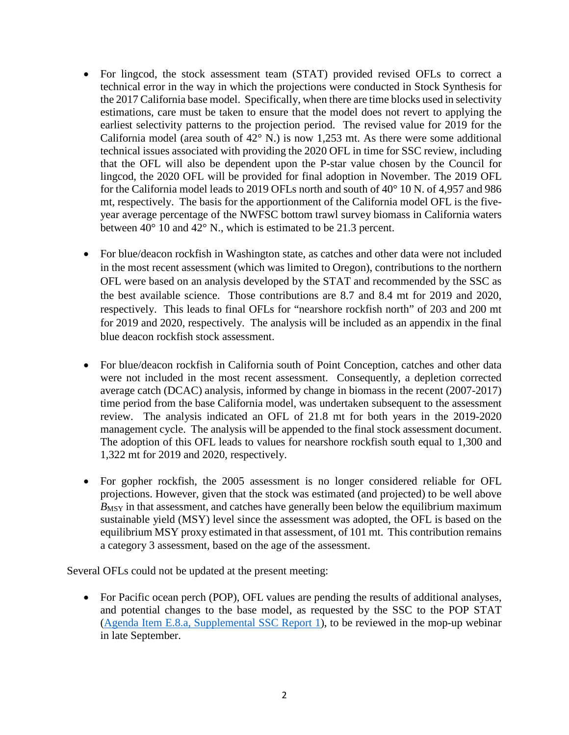- For lingcod, the stock assessment team (STAT) provided revised OFLs to correct a technical error in the way in which the projections were conducted in Stock Synthesis for the 2017 California base model. Specifically, when there are time blocks used in selectivity estimations, care must be taken to ensure that the model does not revert to applying the earliest selectivity patterns to the projection period. The revised value for 2019 for the California model (area south of  $42^{\circ}$  N.) is now 1,253 mt. As there were some additional technical issues associated with providing the 2020 OFL in time for SSC review, including that the OFL will also be dependent upon the P-star value chosen by the Council for lingcod, the 2020 OFL will be provided for final adoption in November. The 2019 OFL for the California model leads to 2019 OFLs north and south of 40° 10 N. of 4,957 and 986 mt, respectively. The basis for the apportionment of the California model OFL is the fiveyear average percentage of the NWFSC bottom trawl survey biomass in California waters between 40° 10 and 42° N., which is estimated to be 21.3 percent.
- For blue/deacon rockfish in Washington state, as catches and other data were not included in the most recent assessment (which was limited to Oregon), contributions to the northern OFL were based on an analysis developed by the STAT and recommended by the SSC as the best available science. Those contributions are 8.7 and 8.4 mt for 2019 and 2020, respectively. This leads to final OFLs for "nearshore rockfish north" of 203 and 200 mt for 2019 and 2020, respectively. The analysis will be included as an appendix in the final blue deacon rockfish stock assessment.
- For blue/deacon rockfish in California south of Point Conception, catches and other data were not included in the most recent assessment. Consequently, a depletion corrected average catch (DCAC) analysis, informed by change in biomass in the recent (2007-2017) time period from the base California model, was undertaken subsequent to the assessment review. The analysis indicated an OFL of 21.8 mt for both years in the 2019-2020 management cycle. The analysis will be appended to the final stock assessment document. The adoption of this OFL leads to values for nearshore rockfish south equal to 1,300 and 1,322 mt for 2019 and 2020, respectively.
- For gopher rockfish, the 2005 assessment is no longer considered reliable for OFL projections. However, given that the stock was estimated (and projected) to be well above  $B_{\text{MSY}}$  in that assessment, and catches have generally been below the equilibrium maximum sustainable yield (MSY) level since the assessment was adopted, the OFL is based on the equilibrium MSY proxy estimated in that assessment, of 101 mt. This contribution remains a category 3 assessment, based on the age of the assessment.

Several OFLs could not be updated at the present meeting:

• For Pacific ocean perch (POP), OFL values are pending the results of additional analyses, and potential changes to the base model, as requested by the SSC to the POP STAT [\(Agenda Item E.8.a, Supplemental SSC Report 1\)](http://www.pcouncil.org/wp-content/uploads/2017/09/E8a_Sup_SSC_Rpt1_Stock_Assessments_SEPT2017BB.pdf), to be reviewed in the mop-up webinar in late September.